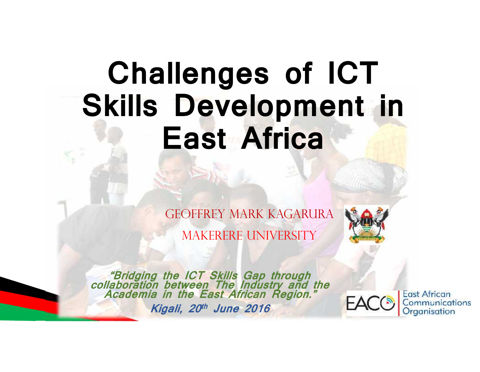# **Challenges of ICT Skills Development in East Africa**

Geoffrey Mark Kagarura

MAKERERE UNIVERSITY



*"Bridging the ICT Skills Gap through collaboration between The Industry and the Academia in the East African Region." Kigali, 20th June 2016*

**East African** Communications Organisation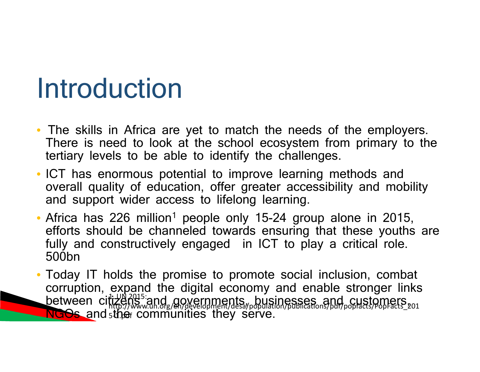## Introduction

- The skills in Africa are yet to match the needs of the employers. There is need to look at the school ecosystem from primary to the tertiary levels to be able to identify the challenges.
- ICT has enormous potential to improve learning methods and overall quality of education, offer greater accessibility and mobility and support wider access to lifelong learning.
- Africa has 226 million<sup>1</sup> people only 15-24 group alone in 2015, efforts should be channeled towards ensuring that these youths are fully and constructively engaged in ICT to play a critical role. 500bn
- **NGOs and the communities they serve.** The serve • Today IT holds the promise to promote social inclusion, combat corruption, expand the digital economy and enable stronger links between citizens and governments, businesses and customers, http://www.un.org/en/development/desa/population/publications/pdf/popfacts/PopFacts\_201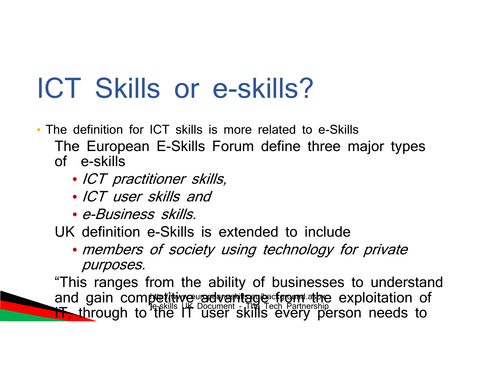## ICT Skills or e-skills?

- The definition for ICT skills is more related to e-Skills The European E-Skills Forum define three major types of e-skills
	- *ICT practitioner skills,*
	- *ICT user skills and*
	- *e-Business skills.*

UK definition e-Skills is extended to include

• *members of society using technology for private purposes.*

6/21/2016 "This ranges from the ability of businesses to understand and gain competitive radvantage cfrom athe exploitation of **IT, through to the IT user skills every person needs to** http://www.europrejay.espla.ed/background.aspxe.exi **]**e-skills UK Document - The Tech Partnership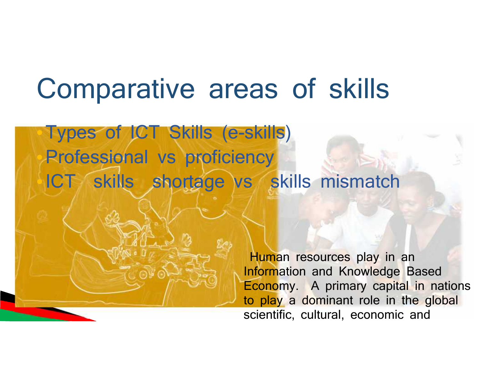## Comparative areas of skills

•Types of ICT Skills (e-skills) Professional vs proficiency ICT skills shortage vs skills mismatch

6/21/2016

Human resources play in an Information and Knowledge Based Economy. A primary capital in nations to play a dominant role in the global scientific, cultural, economic and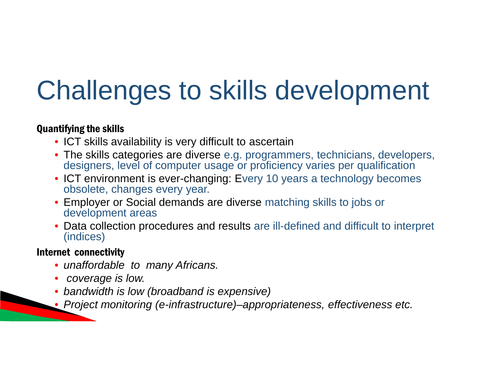# Challenges to skills development

#### Quantifying the skills

- ICT skills availability is very difficult to ascertain
- The skills categories are diverse e.g. programmers, technicians, developers, designers, level of computer usage or proficiency varies per qualification
- ICT environment is ever-changing: Every 10 years a technology becomes obsolete, changes every year.
- Employer or Social demands are diverse matching skills to jobs or development areas
- Data collection procedures and results are ill-defined and difficult to interpret (indices)

#### Internet connectivity

- *unaffordable to many Africans.*
- *coverage is low.*
- *bandwidth is low (broadband is expensive)*
- 6/21/2016 • *Project monitoring (e-infrastructure)–appropriateness, effectiveness etc.*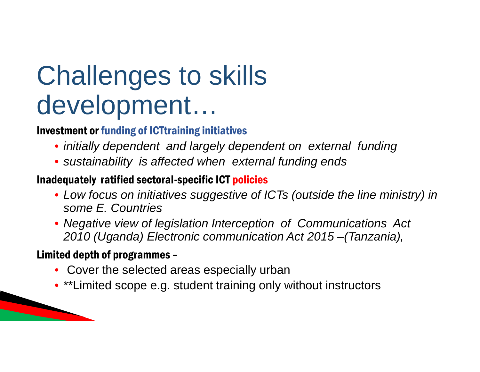## Challenges to skills development…

### Investment or funding of ICTtraining initiatives

- *initially dependent and largely dependent on external funding*
- *sustainability is affected when external funding ends*

### Inadequately ratified sectoral-specific ICT policies

- *Low focus on initiatives suggestive of ICTs (outside the line ministry) in some E. Countries*
- *Negative view of legislation Interception of Communications Act 2010 (Uganda) Electronic communication Act 2015 –(Tanzania),*

### Limited depth of programmes –

 $\overline{\phantom{a}}$ 

- Cover the selected areas especially urban
- \*\*Limited scope e.g. student training only without instructors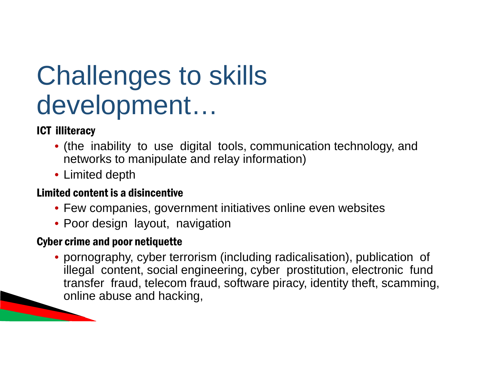## Challenges to skills development…

## ICT illiteracy

- (the inability to use digital tools, communication technology, and networks to manipulate and relay information)
- Limited depth

### Limited content is a disincentive

- Few companies, government initiatives online even websites
- Poor design layout, navigation

### Cyber crime and poor netiquette

 $\overline{\phantom{a}}$ • pornography, cyber terrorism (including radicalisation), publication of illegal content, social engineering, cyber prostitution, electronic fund transfer fraud, telecom fraud, software piracy, identity theft, scamming, online abuse and hacking,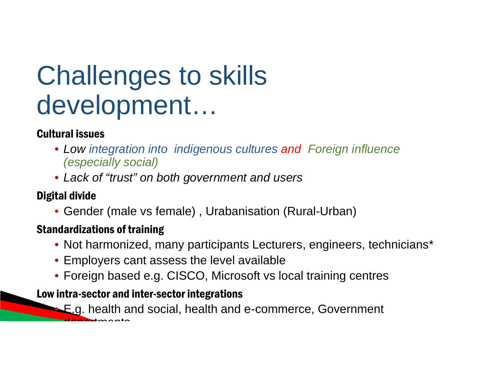## Challenges to skills development…

### Cultural issues

- *Low integration into indigenous cultures and Foreign influence (especially social)*
- *Lack of "trust" on both government and users*

### Digital divide

• Gender (male vs female) , Urabanisation (Rural-Urban)

### Standardizations of training

- Not harmonized, many participants Lecturers, engineers, technicians\*
- Employers cant assess the level available
- Foreign based e.g. CISCO, Microsoft vs local training centres
- Low intra-sector and inter-sector integrations

**E.g. health and social, health and e-commerce, Government** departments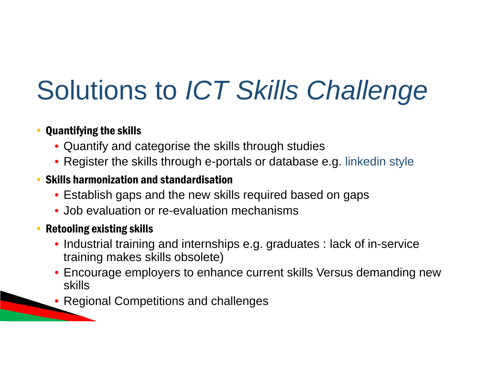# Solutions to *ICT Skills Challenge*

## • Quantifying the skills

- Quantify and categorise the skills through studies
- Register the skills through e-portals or database e.g. linkedin style

### • Skills harmonization and standardisation

- Establish gaps and the new skills required based on gaps
- Job evaluation or re-evaluation mechanisms

### • Retooling existing skills

6/21/2016

- Industrial training and internships e.g. graduates : lack of in-service training makes skills obsolete)
- Encourage employers to enhance current skills Versus demanding new skills
- Regional Competitions and challenges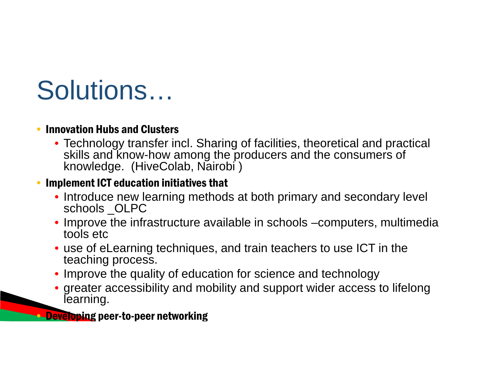## Solutions…

### • Innovation Hubs and Clusters

• Technology transfer incl. Sharing of facilities, theoretical and practical skills and know-how among the producers and the consumers of knowledge. (HiveColab, Nairobi )

### • Implement ICT education initiatives that

- Introduce new learning methods at both primary and secondary level schools \_OLPC
- Improve the infrastructure available in schools –computers, multimedia tools etc
- use of eLearning techniques, and train teachers to use ICT in the teaching process.
- Improve the quality of education for science and technology
- greater accessibility and mobility and support wider access to lifelong learning.

**••• Developing** peer-to-peer networking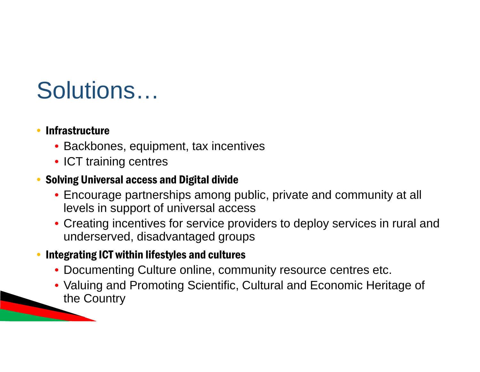## Solutions…

### **Infrastructure**

6/21/2016

- Backbones, equipment, tax incentives
- ICT training centres

### • Solving Universal access and Digital divide

- Encourage partnerships among public, private and community at all levels in support of universal access
- Creating incentives for service providers to deploy services in rural and underserved, disadvantaged groups

### • Integrating ICT within lifestyles and cultures

- Documenting Culture online, community resource centres etc.
- Valuing and Promoting Scientific, Cultural and Economic Heritage of the Country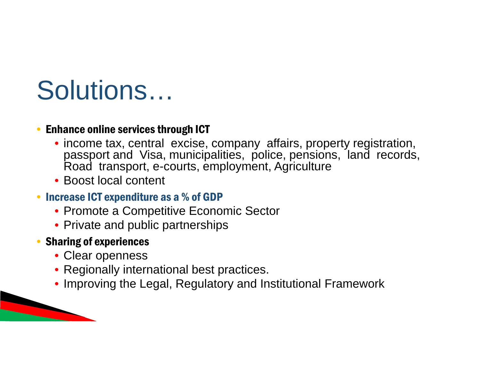## Solutions…

#### • Enhance online services through ICT

- income tax, central excise, company affairs, property registration, passport and Visa, municipalities, police, pensions, land records, Road transport, e-courts, employment, Agriculture
- Boost local content

### • Increase ICT expenditure as a % of GDP

- Promote a Competitive Economic Sector
- Private and public partnerships

### • Sharing of experiences

 $\overline{\phantom{a}}$ 

- Clear openness
- Regionally international best practices.
- Improving the Legal, Regulatory and Institutional Framework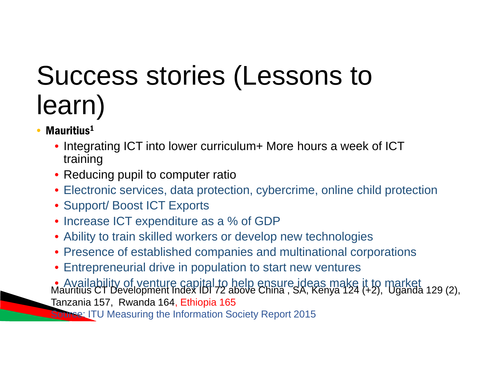## Success stories (Lessons to learn)

- Mauritius<sup>1</sup>
	- Integrating ICT into lower curriculum+ More hours a week of ICT training
	- Reducing pupil to computer ratio
	- Electronic services, data protection, cybercrime, online child protection
	- Support/ Boost ICT Exports
	- Increase ICT expenditure as a % of GDP
	- Ability to train skilled workers or develop new technologies
	- Presence of established companies and multinational corporations
	- Entrepreneurial drive in population to start new ventures
	- Availability of venture capital to help ensure ideas make it to market Mauritius CT Development Index IDI 72 above China, SA, Kenya 124 (+2), Uganda 129 (2), Tanzania 157, Rwanda 164, Ethiopia 165

**Source: ITU Measuring the Information Society Report 2015**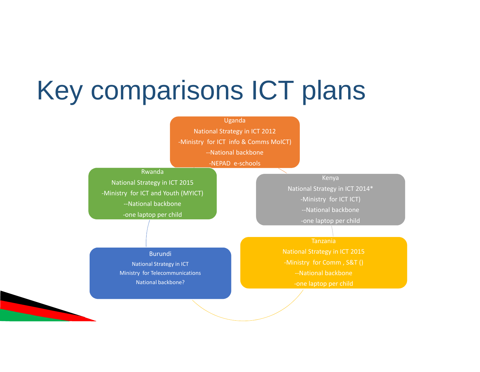## Key comparisons ICT plans



Kenya

National Strategy in ICT 2014\* -Ministry for ICT ICT) --National backbone

-one laptop per child

Tanzania

National Strategy in ICT 2015 -Ministry for Comm , S&T () --National backbone -one laptop per child

Burundi

National Strategy in ICT Ministry for Telecommunications National backbone?

 $\overline{\phantom{a}}$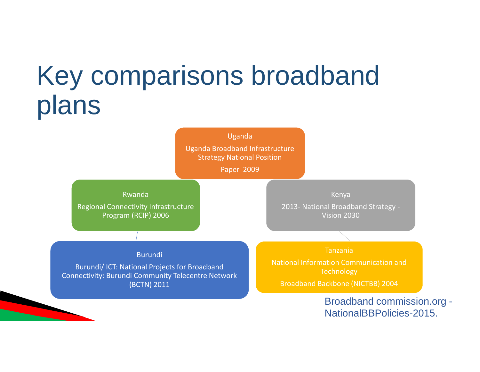## Key comparisons broadband plans